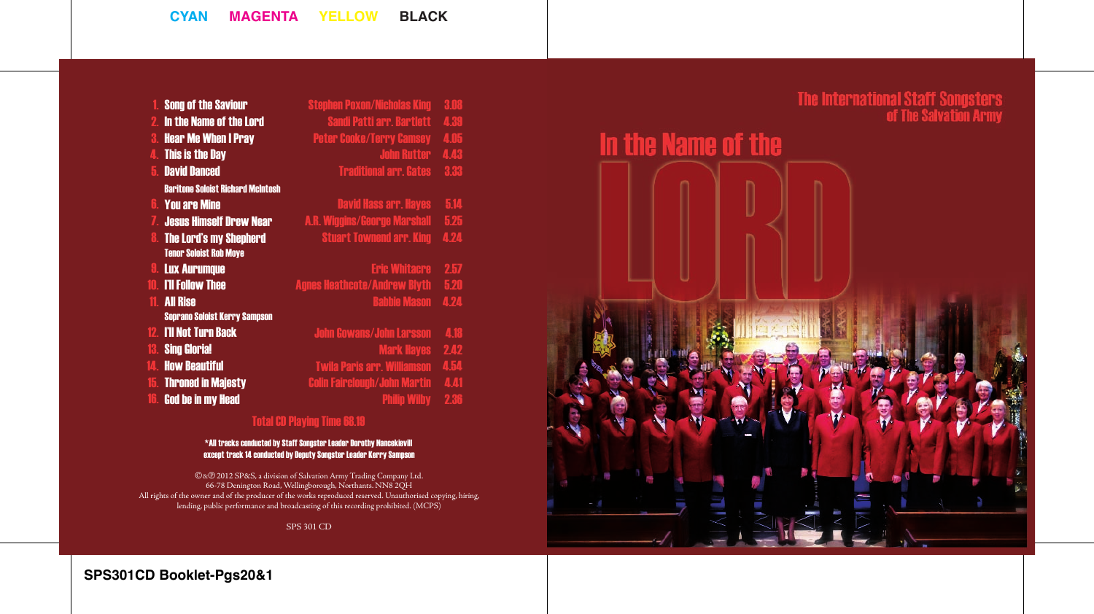3.08 4.39

4.18

hall 5.25

son 4.54

|                                    | <b>Song of the Saviour</b>               | <b>Stephen Poxon/Nicholas King</b>  | 3.08        |
|------------------------------------|------------------------------------------|-------------------------------------|-------------|
| $\mathbf{2}$                       | In the Name of the Lord                  | Sandi Patti arr. Bartlett           | 4.39        |
| 3.                                 | <b>Hear Me When I Pray</b>               | <b>Peter Cooke/Terry Camsey</b>     | 4.05        |
| 4.                                 | <b>This is the Day</b>                   | <b>John Rutter</b>                  | 4.43        |
| 5.                                 | <b>David Danced</b>                      | <b>Traditional arr. Gates</b>       | 3.33        |
|                                    | <b>Baritone Soloist Richard McIntosh</b> |                                     |             |
|                                    | <b>6. You are Mine</b>                   | <b>David Hass arr. Hayes</b>        | 5.14        |
| 7.                                 | <b>Jesus Himself Drew Near</b>           | A.R. Wiggins/George Marshall        | 5.25        |
|                                    | <b>8. The Lord's my Shepherd</b>         | <b>Stuart Townend arr. King</b>     | <b>4.24</b> |
|                                    | <b>Tenor Soloist Rob Moye</b>            |                                     |             |
|                                    | <b>9. Lux Aurumque</b>                   | <b>Eric Whitacre</b>                | 2.57        |
|                                    | <b>10. I'll Follow Thee</b>              | <b>Agnes Heathcote/Andrew Blyth</b> | 5.20        |
|                                    | <b>11. All Rise</b>                      | <b>Babbie Mason</b>                 | 4.24        |
|                                    | <b>Soprano Soloist Kerry Sampson</b>     |                                     |             |
|                                    | <b>12. I'll Not Turn Back</b>            | <b>John Gowans/John Larsson</b>     | <b>4.18</b> |
| 13.                                | <b>Sing Glorial</b>                      | <b>Mark Haves</b>                   | 2.42        |
| 14.                                | <b>How Beautiful</b>                     | <b>Twila Paris arr. Williamson</b>  | 4.54        |
| 15.                                | <b>Throned in Majesty</b>                | <b>Colin Fairclough/John Martin</b> | 4.41        |
| 16.                                | God be in my Head                        | <b>Philip Wilby</b>                 | 2.36        |
| <b>Total CD Playing Time 68.19</b> |                                          |                                     |             |

#### \*All tracks conducted by Staff Songster Leader Dorothy Nancekievill except track 14 conducted by Deputy Songster Leader Kerry Sampson

C&P2012 SP&S, a division of Salvation Army Trading Company Ltd. 66-78 Denington Road, Wellingborough, Northants. NN8 2QH All rights of the owner and of the producer of the works reproduced reserved. Unauthorised copying, hiring, lending, public performance and broadcasting of this recording prohibited. (MCPS)

SPS 301 CD

# The International Staff Songsters<br>of The Salvation Army In the Name of the



**SPS301CD Booklet-Pgs20&1**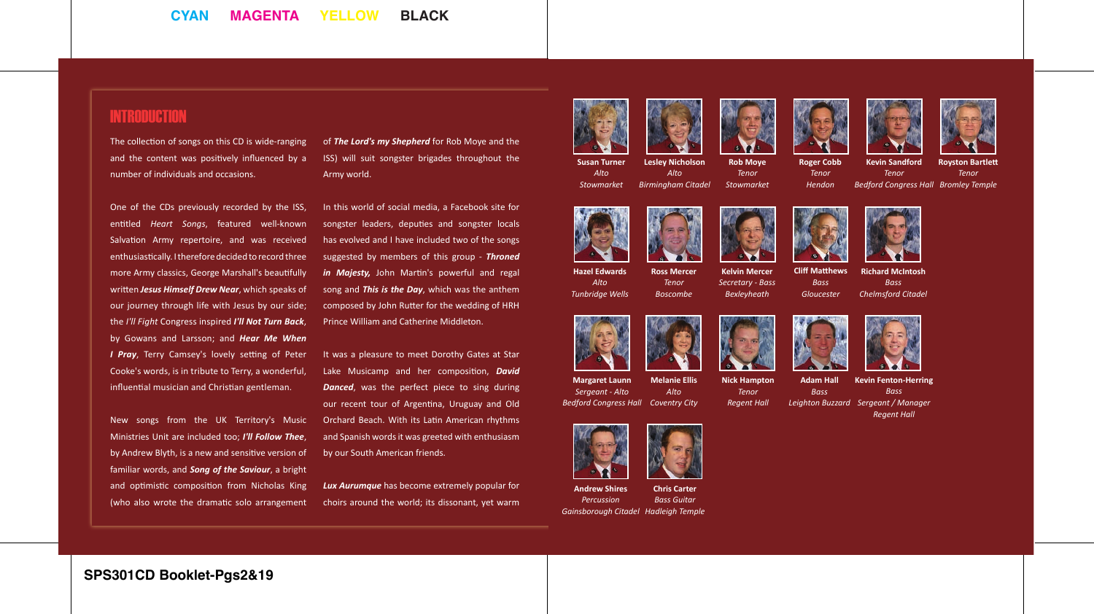## **INTRODUCTION**

The collection of songs on this CD is wide-ranging and the content was positively influenced by a number of individuals and occasions.

One of the CDs previously recorded by the ISS, entitled *Heart Songs*, featured well-known Salvation Army repertoire, and was received enthusiastically. I therefore decided to record three more Army classics, George Marshall's beautifully written **Jesus Himself Drew Near**, which speaks of our journey through life with Jesus by our side; the *I'll Fight* Congress inspired *I'll Not Turn Back*, by Gowans and Larsson; and *Hear Me When I Pray*, Terry Camsey's lovely setting of Peter Cooke's words, is in tribute to Terry, a wonderful, influential musician and Christian gentleman.

New songs from the UK Territory's Music Ministries Unit are included too; *I'll Follow Thee*, by Andrew Blyth, is a new and sensitive version of familiar words, and *Song of the Saviour*, a bright and optimistic composition from Nicholas King (who also wrote the dramatic solo arrangement

**SPS301CD Booklet-Pgs2&19**

of *The Lord's my Shepherd* for Rob Moye and the ISS) will suit songster brigades throughout the Army world.

In this world of social media, a Facebook site for songster leaders, deputies and songster locals has evolved and I have included two of the songs suggested by members of this group - *Throned in Majesty*, John Martin's powerful and regal song and *This is the Day*, which was the anthem composed by John Rutter for the wedding of HRH Prince William and Catherine Middleton.

It was a pleasure to meet Dorothy Gates at Star Lake Musicamp and her composition, **David** *Danced*, was the perfect piece to sing during our recent tour of Argentina, Uruguay and Old Orchard Beach. With its Latin American rhythms and Spanish words it was greeted with enthusiasm by our South American friends.

*Lux Aurumque* has become extremely popular for choirs around the world; its dissonant, yet warm



*Alto Stowmarket*

**Hazel Edwards** *Alto Tunbridge Wells*











**Kevin Sandford**  *Tenor* 

*Bedford Congress Hall Bromley Temple* **Royston Bartlett** *Tenor*





*Alto Birmingham Citadel*

> **Ross Mercer** *Tenor Boscombe*





**Rob Moye** *Tenor Stowmarket*

**Kelvin Mercer** *Secretary - Bass Bexleyheath* 



**Roger Cobb**  *Tenor Hendon*

*Bass Gloucester*



**Richard McIntosh** *Bass Chelmsford Citadel* **Cliff MaƩ hews**





**Melanie Ellis**

*Alto*

**Nick Hampton** *Tenor* 

*Regent Hall*

**Adam Hall** *Bass*



Leighton Buzzard Sergeant / Manager *Regent Hall* 

*Coventry City Bedford Congress Hall* 

*Sergeant - Alto*

**Andrew Shires** *Percussion Gainsborough Citadel Hadleigh Temple* **Chris Carter** *Bass Guitar*

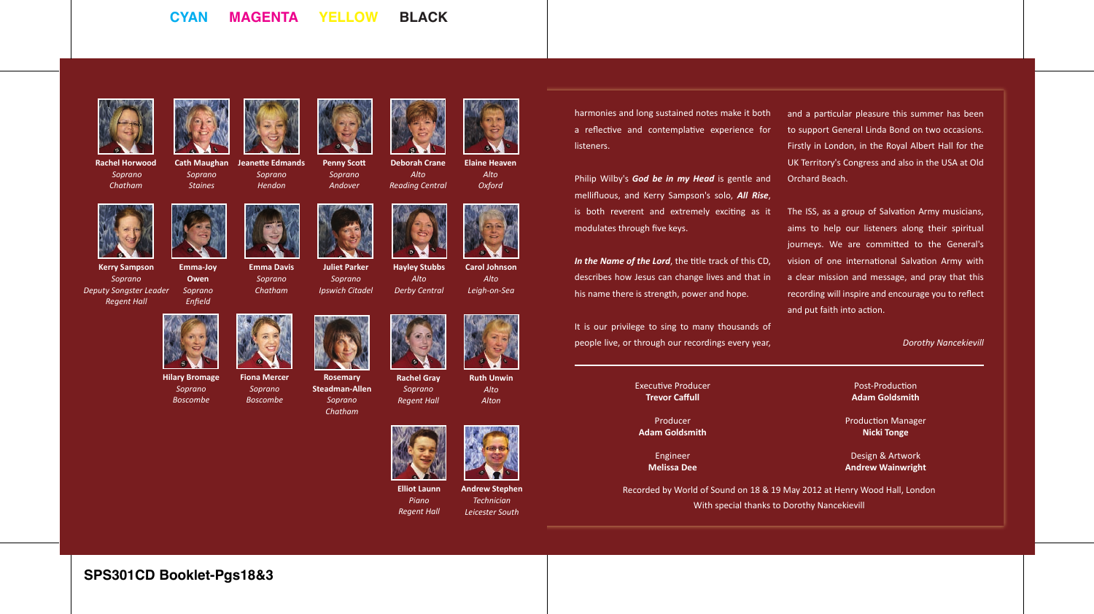

**Rachel Horwood**   *Soprano Chatham*









**JeaneƩ e Edmands** *Soprano Hendon*







**Carol Johnson** *Alto Leigh-on-Sea*

**Kerry Sampson** *Soprano Deputy Songster Leader*

*Regent Hall Soprano* **Enfield** 



**Hilary Bromage** *Soprano Boscombe*



**Fiona Mercer** *Soprano Boscombe*

**Rosemary Steadman-Allen** *Soprano*

*Chatham*



**Elliot Launn** *Piano Regent Hall*

*Technician*

harmonies and long sustained notes make it both a reflective and contemplative experience for listeners.

Philip Wilby's *God be in my Head* is gentle and mellifl uous, and Kerry Sampson's solo, *All Rise*, is both reverent and extremely exciting as it modulates through five keys.

*In the Name of the Lord*, the title track of this CD, describes how Jesus can change lives and that in his name there is strength, power and hope.

It is our privilege to sing to many thousands of people live, or through our recordings every year, and a particular pleasure this summer has been to support General Linda Bond on two occasions. Firstly in London, in the Royal Albert Hall for the UK Territory's Congress and also in the USA at Old Orchard Beach.

The ISS, as a group of Salvation Army musicians, aims to help our listeners along their spiritual journeys. We are committed to the General's vision of one international Salvation Army with a clear mission and message, and pray that this recording will inspire and encourage you to reflect and put faith into action.

*Dorothy Nancekievill*

Executive Producer **Trevor Caff ull**

Producer **Adam Goldsmith**

> Engineer **Melissa Dee**

Post-Production **Adam Goldsmith**

Production Manager **Nicki Tonge**

Design & Artwork **Andrew Wainwright**

**Andrew Stephen** Recorded by World of Sound on 18 & 19 May 2012 at Henry Wood Hall, London *Leicester South* With special thanks to Dorothy Nancekievill

*Staines*



**Juliet Parker** *Soprano Ipswich Citadel* **Emma Davis** *Soprano Chatham*









**SPS301CD Booklet-Pgs18&3**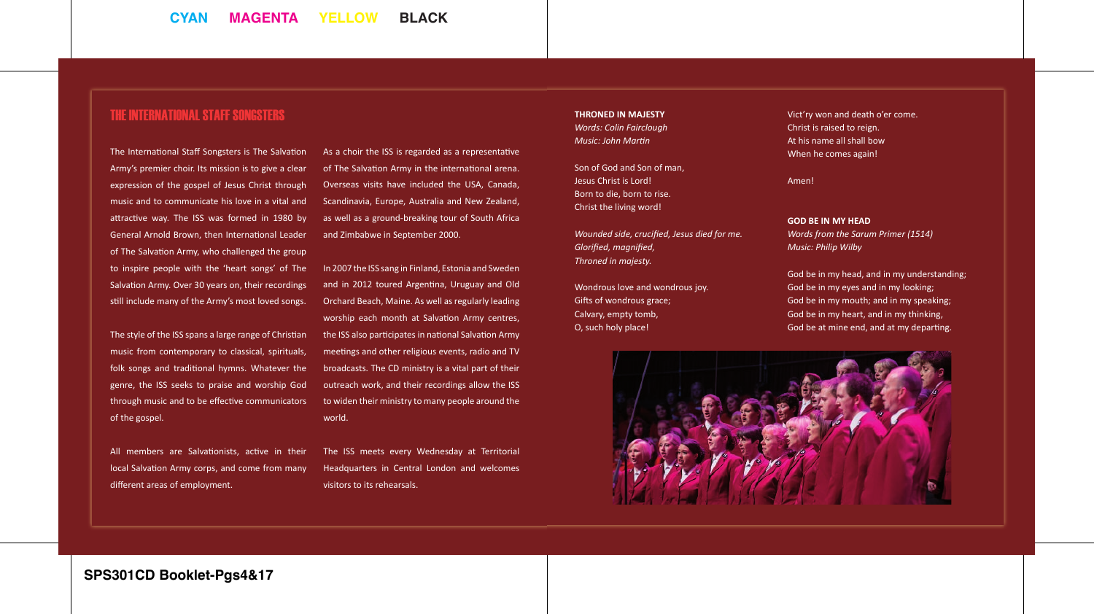## THE INTERNATIONAL STAFF SONGSTERS **THRONED IN MAJESTY**

The International Staff Songsters is The Salvation Army's premier choir. Its mission is to give a clear expression of the gospel of Jesus Christ through music and to communicate his love in a vital and attractive way. The ISS was formed in 1980 by General Arnold Brown, then International Leader of The Salvation Army, who challenged the group to inspire people with the 'heart songs' of The Salvation Army. Over 30 years on, their recordings still include many of the Army's most loved songs.

The style of the ISS spans a large range of Christian music from contemporary to classical, spirituals, folk songs and traditional hymns. Whatever the genre, the ISS seeks to praise and worship God through music and to be effective communicators of the gospel.

All members are Salvationists, active in their local Salvation Army corps, and come from many different areas of employment.

As a choir the ISS is regarded as a representative of The Salvation Army in the international arena. Overseas visits have included the USA, Canada, Scandinavia, Europe, Australia and New Zealand, as well as a ground-breaking tour of South Africa and Zimbabwe in September 2000.

In 2007 the ISS sang in Finland, Estonia and Sweden and in 2012 toured Argentina, Uruguay and Old Orchard Beach, Maine. As well as regularly leading worship each month at Salvation Army centres, the ISS also participates in national Salvation Army meetings and other religious events, radio and TV broadcasts. The CD ministry is a vital part of their outreach work, and their recordings allow the ISS to widen their ministry to many people around the world.

The ISS meets every Wednesday at Territorial Headquarters in Central London and welcomes visitors to its rehearsals.

## *Words: Colin Fairclough*

*Music: John Martin* 

Son of God and Son of man, Jesus Christ is Lord! Born to die, born to rise. Christ the living word!

*Wounded side, crucified, Jesus died for me.* Glorified, magnified, *Throned in majesty.*

Wondrous love and wondrous joy. Gifts of wondrous grace; Calvary, empty tomb, O, such holy place!

Vict'ry won and death o'er come. Christ is raised to reign. At his name all shall bow When he comes again!

Amen!

**GOD BE IN MY HEAD** *Words from the Sarum Primer (1514) Music: Philip Wilby*

God be in my head, and in my understanding; God be in my eyes and in my looking; God be in my mouth; and in my speaking; God be in my heart, and in my thinking, God be at mine end, and at my departing.



**SPS301CD Booklet-Pgs4&17**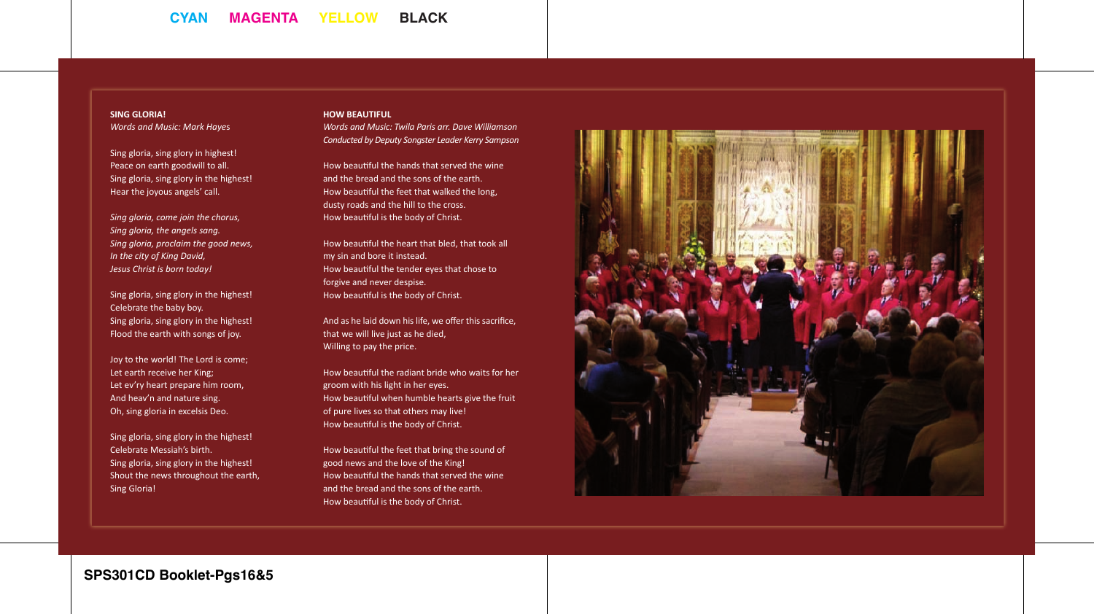**SING GLORIA!** *Words and Music: Mark Haye*s

Sing gloria, sing glory in highest! Peace on earth goodwill to all. Sing gloria, sing glory in the highest! Hear the joyous angels' call.

*Sing gloria, come join the chorus, Sing gloria, the angels sang. Sing gloria, proclaim the good news, In the city of King David, Jesus Christ is born today!*

Sing gloria, sing glory in the highest! Celebrate the baby boy. Sing gloria, sing glory in the highest! Flood the earth with songs of joy.

Joy to the world! The Lord is come; Let earth receive her King; Let ev'ry heart prepare him room, And heav'n and nature sing. Oh, sing gloria in excelsis Deo.

Sing gloria, sing glory in the highest! Celebrate Messiah's birth. Sing gloria, sing glory in the highest! Shout the news throughout the earth, Sing Gloria!

#### **HOW BEAUTIFUL**

*Words and Music: Twila Paris arr. Dave Williamson Conducted by Deputy Songster Leader Kerry Sampson*

How beautiful the hands that served the wine and the bread and the sons of the earth. How beautiful the feet that walked the long, dusty roads and the hill to the cross. How beautiful is the body of Christ.

How beautiful the heart that bled, that took all my sin and bore it instead. How beautiful the tender eyes that chose to forgive and never despise. How beautiful is the body of Christ.

And as he laid down his life, we offer this sacrifice, that we will live just as he died. Willing to pay the price.

How beautiful the radiant bride who waits for her groom with his light in her eyes. How beautiful when humble hearts give the fruit of pure lives so that others may live! How beautiful is the body of Christ.

How beautiful the feet that bring the sound of good news and the love of the King! How beautiful the hands that served the wine and the bread and the sons of the earth. How beautiful is the body of Christ.



**SPS301CD Booklet-Pgs16&5**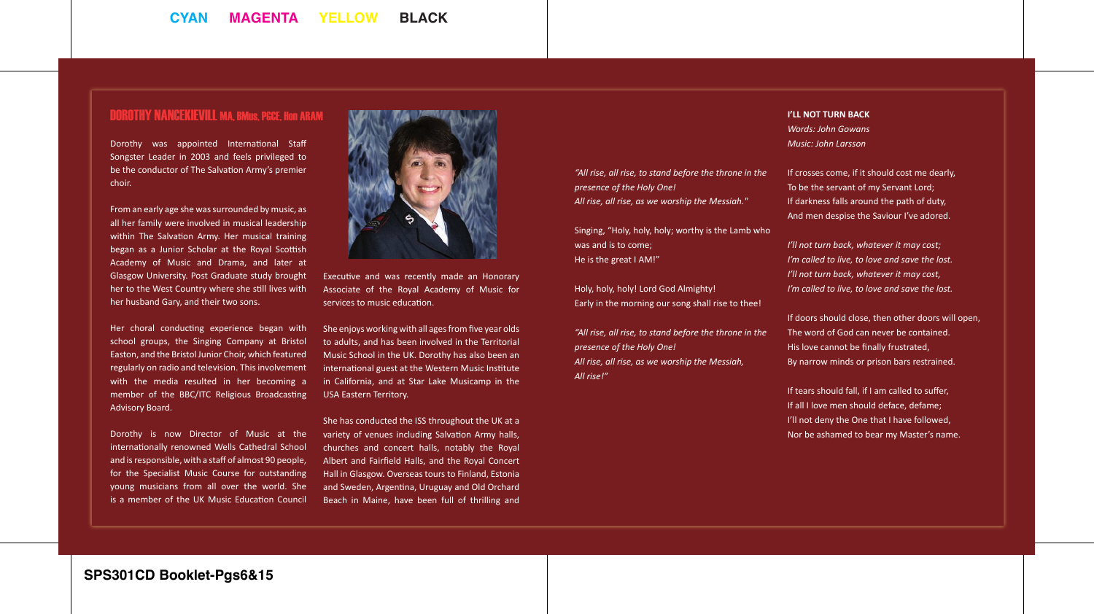## DOROTHY NANCEKIEVILL MA, BMus, PGCE, Hon ARAM

Dorothy was appointed International Staff Songster Leader in 2003 and feels privileged to be the conductor of The Salvation Army's premier choir.

From an early age she was surrounded by music, as all her family were involved in musical leadership within The Salvation Army. Her musical training began as a Junior Scholar at the Royal Scottish Academy of Music and Drama, and later at Glasgow University. Post Graduate study brought her to the West Country where she still lives with her husband Gary, and their two sons.

Her choral conducting experience began with school groups, the Singing Company at Bristol Easton, and the Bristol Junior Choir, which featured regularly on radio and television. This involvement with the media resulted in her becoming a member of the BBC/ITC Religious Broadcasting Advisory Board.

Dorothy is now Director of Music at the internationally renowned Wells Cathedral School and is responsible, with a staff of almost 90 people, for the Specialist Music Course for outstanding young musicians from all over the world. She is a member of the UK Music Education Council



Executive and was recently made an Honorary Associate of the Royal Academy of Music for services to music education.

She enjoys working with all ages from five year olds to adults, and has been involved in the Territorial Music School in the UK. Dorothy has also been an international guest at the Western Music Institute in California, and at Star Lake Musicamp in the USA Eastern Territory.

She has conducted the ISS throughout the UK at a variety of venues including Salvation Army halls, churches and concert halls, notably the Royal Albert and Fairfield Halls, and the Royal Concert Hall in Glasgow. Overseas tours to Finland, Estonia and Sweden, Argentina, Uruguay and Old Orchard Beach in Maine, have been full of thrilling and *"All rise, all rise, to stand before the throne in the presence of the Holy One! All rise, all rise, as we worship the Messiah."*

Singing, "Holy, holy, holy; worthy is the Lamb who was and is to come; He is the great I AM!"

Holy, holy, holy! Lord God Almighty! Early in the morning our song shall rise to thee!

*"All rise, all rise, to stand before the throne in the presence of the Holy One! All rise, all rise, as we worship the Messiah, All rise!"*

#### **I'LL NOT TURN BACK**

*Words: John Gowans Music: John Larsson*

If crosses come, if it should cost me dearly, To be the servant of my Servant Lord; If darkness falls around the path of duty, And men despise the Saviour I've adored.

*I'll not turn back, whatever it may cost; I'm called to live, to love and save the lost. I'll not turn back, whatever it may cost, I'm called to live, to love and save the lost.*

If doors should close, then other doors will open, The word of God can never be contained. His love cannot be finally frustrated, By narrow minds or prison bars restrained.

If tears should fall, if I am called to suffer. If all I love men should deface, defame; I'll not deny the One that I have followed, Nor be ashamed to bear my Master's name.

**SPS301CD Booklet-Pgs6&15**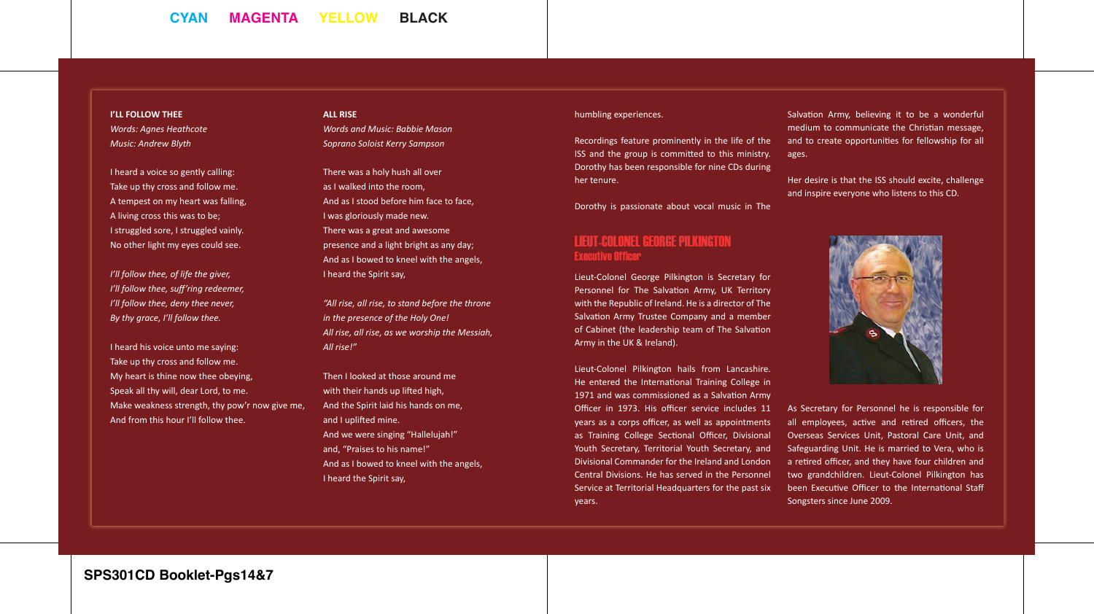### **I'LL FOLLOW THEE** *Words: Agnes Heathcote Music: Andrew Blyth*

I heard a voice so gently calling: Take up thy cross and follow me. A tempest on my heart was falling, A living cross this was to be; I struggled sore, I struggled vainly. No other light my eyes could see.

*I'll follow thee, of life the giver, I'll follow thee, suff 'ring redeemer, I'll follow thee, deny thee never, By thy grace, I'll follow thee.*

I heard his voice unto me saying: Take up thy cross and follow me. My heart is thine now thee obeying, Speak all thy will, dear Lord, to me. Make weakness strength, thy pow'r now give me, And from this hour I'll follow thee.

#### **ALL RISE**

*Words and Music: Babbie Mason Soprano Soloist Kerry Sampson*

There was a holy hush all over as I walked into the room, And as I stood before him face to face, I was gloriously made new. There was a great and awesome presence and a light bright as any day; And as I bowed to kneel with the angels, I heard the Spirit say,

*"All rise, all rise, to stand before the throne in the presence of the Holy One! All rise, all rise, as we worship the Messiah, All rise!"*

Then I looked at those around me with their hands up lifted high, And the Spirit laid his hands on me, and I uplifted mine. And we were singing "Hallelujah!" and, "Praises to his name!" And as I bowed to kneel with the angels, I heard the Spirit say,

#### humbling experiences.

Recordings feature prominently in the life of the ISS and the group is committed to this ministry. Dorothy has been responsible for nine CDs during her tenure.

Dorothy is passionate about vocal music in The

## LIEUT-COLONEL GEORGE PILKINGTON Executive Officer

Lieut-Colonel George Pilkington is Secretary for Personnel for The Salvation Army, UK Territory with the Republic of Ireland. He is a director of The Salvation Army Trustee Company and a member of Cabinet (the leadership team of The Salvation Army in the UK & Ireland).

Lieut-Colonel Pilkington hails from Lancashire. He entered the International Training College in 1971 and was commissioned as a Salvation Army Officer in 1973. His officer service includes 11 years as a corps officer, as well as appointments as Training College Sectional Officer, Divisional Youth Secretary, Territorial Youth Secretary, and Divisional Commander for the Ireland and London Central Divisions. He has served in the Personnel Service at Territorial Headquarters for the past six years.

Salvation Army, believing it to be a wonderful medium to communicate the Christian message, and to create opportunities for fellowship for all ages.

Her desire is that the ISS should excite, challenge and inspire everyone who listens to this CD.



As Secretary for Personnel he is responsible for all employees, active and retired officers, the Overseas Services Unit, Pastoral Care Unit, and Safeguarding Unit. He is married to Vera, who is a retired officer, and they have four children and two grandchildren. Lieut-Colonel Pilkington has been Executive Officer to the International Staff Songsters since June 2009.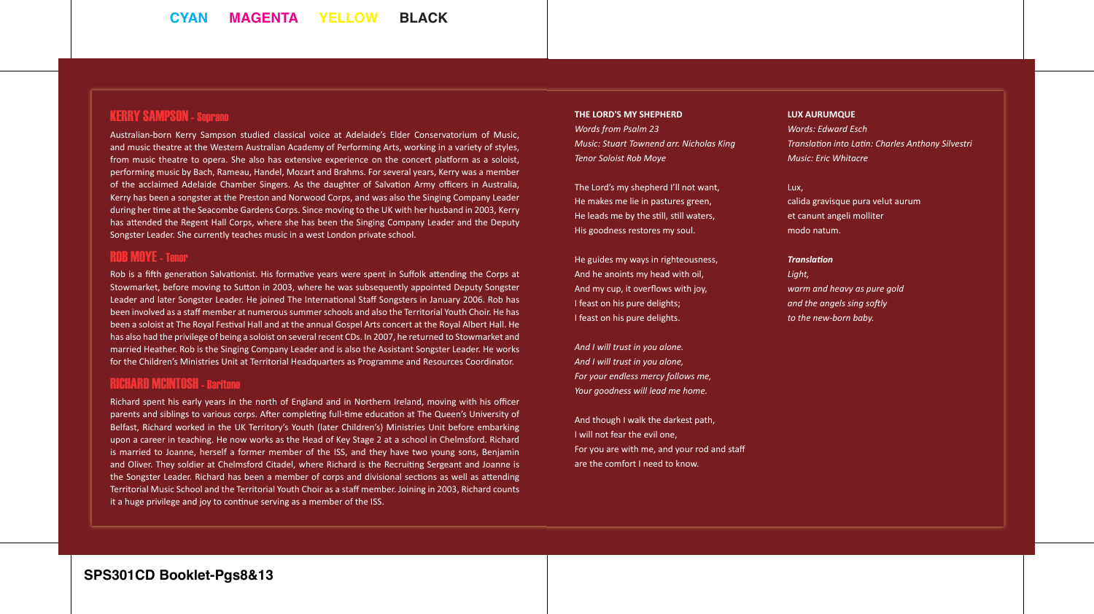## KERRY SAMPSON - Soprano **THE LORD'S MY SHEPHERD**

Australian-born Kerry Sampson studied classical voice at Adelaide's Elder Conservatorium of Music, and music theatre at the Western Australian Academy of Performing Arts, working in a variety of styles, from music theatre to opera. She also has extensive experience on the concert platform as a soloist. performing music by Bach, Rameau, Handel, Mozart and Brahms. For several years, Kerry was a member of the acclaimed Adelaide Chamber Singers. As the daughter of Salvation Army officers in Australia, Kerry has been a songster at the Preston and Norwood Corps, and was also the Singing Company Leader during her time at the Seacombe Gardens Corps. Since moving to the UK with her husband in 2003, Kerry has attended the Regent Hall Corps, where she has been the Singing Company Leader and the Deputy Songster Leader. She currently teaches music in a west London private school.

## ROB MOYE - Tenor

Rob is a fifth generation Salvationist. His formative years were spent in Suffolk attending the Corps at Stowmarket, before moving to Sutton in 2003, where he was subsequently appointed Deputy Songster Leader and later Songster Leader. He joined The International Staff Songsters in January 2006. Rob has been involved as a staff member at numerous summer schools and also the Territorial Youth Choir. He has been a soloist at The Royal Festival Hall and at the annual Gospel Arts concert at the Royal Albert Hall. He has also had the privilege of being a soloist on several recent CDs. In 2007, he returned to Stowmarket and married Heather. Rob is the Singing Company Leader and is also the Assistant Songster Leader. He works for the Children's Ministries Unit at Territorial Headquarters as Programme and Resources Coordinator.

## RICHARD MCINTOSH - Baritone

Richard spent his early years in the north of England and in Northern Ireland, moving with his officer parents and siblings to various corps. After completing full-time education at The Queen's University of Belfast, Richard worked in the UK Territory's Youth (later Children's) Ministries Unit before embarking upon a career in teaching. He now works as the Head of Key Stage 2 at a school in Chelmsford. Richard is married to Joanne, herself a former member of the ISS, and they have two young sons, Benjamin and Oliver. They soldier at Chelmsford Citadel, where Richard is the Recruiting Sergeant and Joanne is the Songster Leader. Richard has been a member of corps and divisional sections as well as attending Territorial Music School and the Territorial Youth Choir as a staff member. Joining in 2003, Richard counts it a huge privilege and joy to continue serving as a member of the ISS.

*Words from Psalm 23 Music: Stuart Townend arr. Nicholas King Tenor Soloist Rob Moye*

The Lord's my shepherd I'll not want, He makes me lie in pastures green, He leads me by the still, still waters. His goodness restores my soul.

He guides my ways in righteousness, And he anoints my head with oil, And my cup, it overflows with joy, I feast on his pure delights; I feast on his pure delights.

*And I will trust in you alone. And I will trust in you alone, For your endless mercy follows me, Your goodness will lead me home.* 

And though I walk the darkest path, I will not fear the evil one, For you are with me, and your rod and staff are the comfort I need to know.

#### **LUX AURUMQUE**

*Words: Edward Esch TranslaƟ on into LaƟ n: Charles Anthony Silvestri Music: Eric Whitacre*

#### Lux,

calida gravisque pura velut aurum et canunt angeli molliter modo natum.

#### *TranslaƟ on Light,*

*warm and heavy as pure gold and the angels sing softly to the new-born baby.*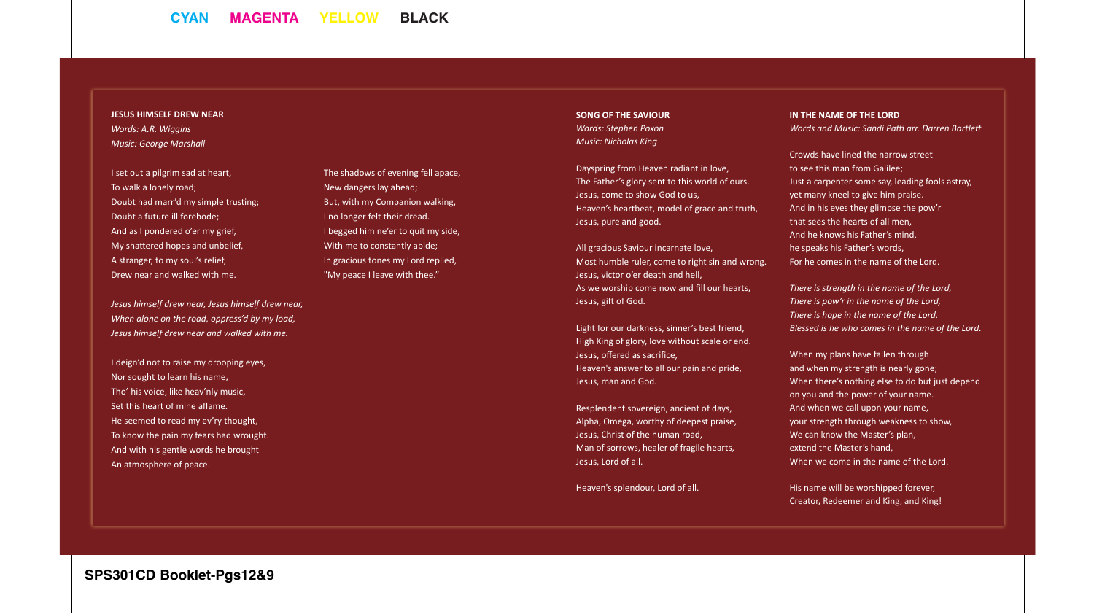**JESUS HIMSELF DREW NEAR** *Words: A.R. Wiggins Music: George Marshall*

I set out a pilgrim sad at heart, To walk a lonely road; Doubt had marr'd my simple trusting; Doubt a future ill forebode; And as I pondered o'er my grief, My shattered hopes and unbelief, A stranger, to my soul's relief, Drew near and walked with me.

*Jesus himself drew near, Jesus himself drew near, When alone on the road, oppress'd by my load, Jesus himself drew near and walked with me.*

I deign'd not to raise my drooping eyes, Nor sought to learn his name, Tho' his voice, like heav'nly music, Set this heart of mine aflame. He seemed to read my ev'ry thought, To know the pain my fears had wrought. And with his gentle words he brought An atmosphere of peace.

The shadows of evening fell apace, New dangers lay ahead; But, with my Companion walking, I no longer felt their dread. I begged him ne'er to quit my side, With me to constantly abide; In gracious tones my Lord replied, "My peace I leave with thee."

**SONG OF THE SAVIOUR** *Words: Stephen Poxon Music: Nicholas King*

Dayspring from Heaven radiant in love, The Father's glory sent to this world of ours. Jesus, come to show God to us, Heaven's heartbeat, model of grace and truth, Jesus, pure and good.

All gracious Saviour incarnate love, Most humble ruler, come to right sin and wrong. Jesus, victor o'er death and hell, As we worship come now and fill our hearts, Jesus, gift of God.

Light for our darkness, sinner's best friend, High King of glory, love without scale or end. Jesus, offered as sacrifice. Heaven's answer to all our pain and pride, Jesus, man and God.

Resplendent sovereign, ancient of days, Alpha, Omega, worthy of deepest praise, Jesus, Christ of the human road, Man of sorrows, healer of fragile hearts, Jesus, Lord of all.

Heaven's splendour, Lord of all.

**IN THE NAME OF THE LORD** *Words and Music: Sandi Patti arr. Darren Bartlett* 

Crowds have lined the narrow street to see this man from Galilee; Just a carpenter some say, leading fools astray, yet many kneel to give him praise. And in his eyes they glimpse the pow'r that sees the hearts of all men, And he knows his Father's mind, he speaks his Father's words, For he comes in the name of the Lord.

*There is strength in the name of the Lord, There is pow'r in the name of the Lord, There is hope in the name of the Lord. Blessed is he who comes in the name of the Lord.*

When my plans have fallen through and when my strength is nearly gone; When there's nothing else to do but just depend on you and the power of your name. And when we call upon your name, your strength through weakness to show, We can know the Master's plan, extend the Master's hand, When we come in the name of the Lord.

His name will be worshipped forever, Creator, Redeemer and King, and King!

**SPS301CD Booklet-Pgs12&9**